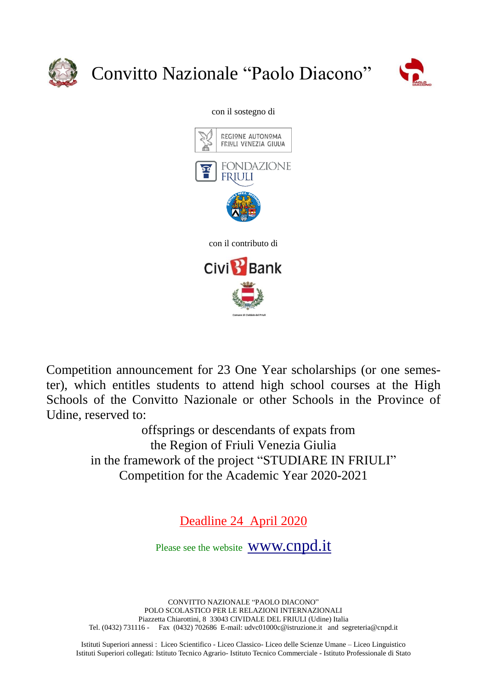

# Convitto Nazionale "Paolo Diacono"



#### con il sostegno di



Competition announcement for 23 One Year scholarships (or one semester), which entitles students to attend high school courses at the High Schools of the Convitto Nazionale or other Schools in the Province of Udine, reserved to:

> offsprings or descendants of expats from the Region of Friuli Venezia Giulia in the framework of the project "STUDIARE IN FRIULI" Competition for the Academic Year 2020-2021

> > Deadline 24 April 2020

Please see the website **WWW.Cnpd.it** 

CONVITTO NAZIONALE "PAOLO DIACONO" POLO SCOLASTICO PER LE RELAZIONI INTERNAZIONALI Piazzetta Chiarottini, 8 33043 CIVIDALE DEL FRIULI (Udine) Italia Tel. (0432) 731116 - Fax (0432) 702686 E-mail: udvc01000c@istruzione.it and segreteria@cnpd.it

Istituti Superiori annessi : Liceo Scientifico - Liceo Classico- Liceo delle Scienze Umane – Liceo Linguistico Istituti Superiori collegati: Istituto Tecnico Agrario- Istituto Tecnico Commerciale - Istituto Professionale di Stato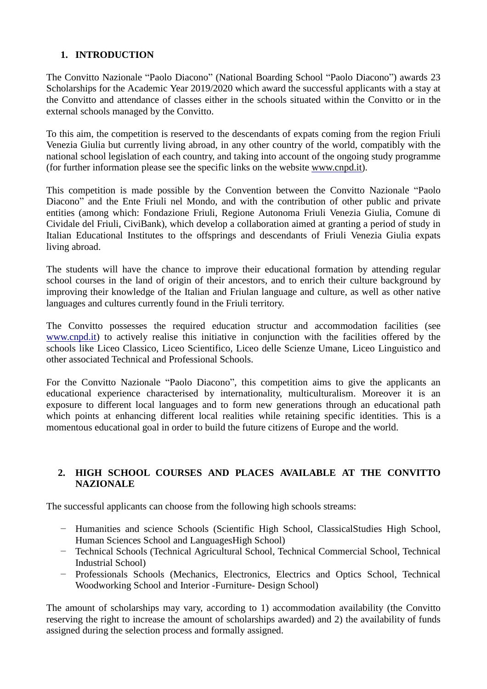### **1. INTRODUCTION**

The Convitto Nazionale "Paolo Diacono" (National Boarding School "Paolo Diacono") awards 23 Scholarships for the Academic Year 2019/2020 which award the successful applicants with a stay at the Convitto and attendance of classes either in the schools situated within the Convitto or in the external schools managed by the Convitto.

To this aim, the competition is reserved to the descendants of expats coming from the region Friuli Venezia Giulia but currently living abroad, in any other country of the world, compatibly with the national school legislation of each country, and taking into account of the ongoing study programme (for further information please see the specific links on the website [www.cnpd.it\)](http://www.cnpd.it/).

This competition is made possible by the Convention between the Convitto Nazionale "Paolo Diacono" and the Ente Friuli nel Mondo, and with the contribution of other public and private entities (among which: Fondazione Friuli, Regione Autonoma Friuli Venezia Giulia, Comune di Cividale del Friuli, CiviBank), which develop a collaboration aimed at granting a period of study in Italian Educational Institutes to the offsprings and descendants of Friuli Venezia Giulia expats living abroad.

The students will have the chance to improve their educational formation by attending regular school courses in the land of origin of their ancestors, and to enrich their culture background by improving their knowledge of the Italian and Friulan language and culture, as well as other native languages and cultures currently found in the Friuli territory.

The Convitto possesses the required education structur and accommodation facilities (see [www.cnpd.it\)](http://www.cnpd.it/) to actively realise this initiative in conjunction with the facilities offered by the schools like Liceo Classico, Liceo Scientifico, Liceo delle Scienze Umane, Liceo Linguistico and other associated Technical and Professional Schools.

For the Convitto Nazionale "Paolo Diacono", this competition aims to give the applicants an educational experience characterised by internationality, multiculturalism. Moreover it is an exposure to different local languages and to form new generations through an educational path which points at enhancing different local realities while retaining specific identities. This is a momentous educational goal in order to build the future citizens of Europe and the world.

#### **2. HIGH SCHOOL COURSES AND PLACES AVAILABLE AT THE CONVITTO NAZIONALE**

The successful applicants can choose from the following high schools streams:

- − Humanities and science Schools (Scientific High School, ClassicalStudies High School, Human Sciences School and LanguagesHigh School)
- − Technical Schools (Technical Agricultural School, Technical Commercial School, Technical Industrial School)
- − Professionals Schools (Mechanics, Electronics, Electrics and Optics School, Technical Woodworking School and Interior -Furniture- Design School)

The amount of scholarships may vary, according to 1) accommodation availability (the Convitto reserving the right to increase the amount of scholarships awarded) and 2) the availability of funds assigned during the selection process and formally assigned.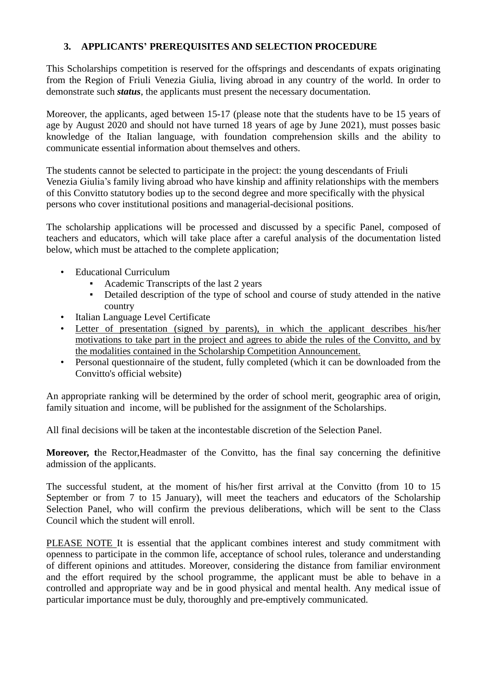#### **3. APPLICANTS' PREREQUISITES AND SELECTION PROCEDURE**

This Scholarships competition is reserved for the offsprings and descendants of expats originating from the Region of Friuli Venezia Giulia, living abroad in any country of the world. In order to demonstrate such *status*, the applicants must present the necessary documentation.

Moreover, the applicants, aged between 15-17 (please note that the students have to be 15 years of age by August 2020 and should not have turned 18 years of age by June 2021), must posses basic knowledge of the Italian language, with foundation comprehension skills and the ability to communicate essential information about themselves and others.

The students cannot be selected to participate in the project: the young descendants of Friuli Venezia Giulia's family living abroad who have kinship and affinity relationships with the members of this Convitto statutory bodies up to the second degree and more specifically with the physical persons who cover institutional positions and managerial-decisional positions.

The scholarship applications will be processed and discussed by a specific Panel, composed of teachers and educators, which will take place after a careful analysis of the documentation listed below, which must be attached to the complete application;

- Educational Curriculum
	- Academic Transcripts of the last 2 years
	- Detailed description of the type of school and course of study attended in the native country
- Italian Language Level Certificate
- Letter of presentation (signed by parents), in which the applicant describes his/her motivations to take part in the project and agrees to abide the rules of the Convitto, and by the modalities contained in the Scholarship Competition Announcement.
- Personal questionnaire of the student, fully completed (which it can be downloaded from the Convitto's official website)

An appropriate ranking will be determined by the order of school merit, geographic area of origin, family situation and income, will be published for the assignment of the Scholarships.

All final decisions will be taken at the incontestable discretion of the Selection Panel.

**Moreover, t**he Rector,Headmaster of the Convitto, has the final say concerning the definitive admission of the applicants.

The successful student, at the moment of his/her first arrival at the Convitto (from 10 to 15 September or from 7 to 15 January), will meet the teachers and educators of the Scholarship Selection Panel, who will confirm the previous deliberations, which will be sent to the Class Council which the student will enroll.

PLEASE NOTE It is essential that the applicant combines interest and study commitment with openness to participate in the common life, acceptance of school rules, tolerance and understanding of different opinions and attitudes. Moreover, considering the distance from familiar environment and the effort required by the school programme, the applicant must be able to behave in a controlled and appropriate way and be in good physical and mental health. Any medical issue of particular importance must be duly, thoroughly and pre-emptively communicated.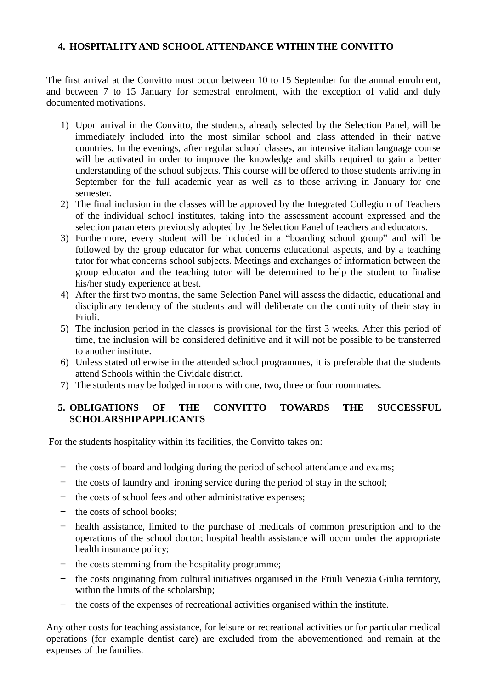#### **4. HOSPITALITY AND SCHOOLATTENDANCE WITHIN THE CONVITTO**

The first arrival at the Convitto must occur between 10 to 15 September for the annual enrolment, and between 7 to 15 January for semestral enrolment, with the exception of valid and duly documented motivations.

- 1) Upon arrival in the Convitto, the students, already selected by the Selection Panel, will be immediately included into the most similar school and class attended in their native countries. In the evenings, after regular school classes, an intensive italian language course will be activated in order to improve the knowledge and skills required to gain a better understanding of the school subjects. This course will be offered to those students arriving in September for the full academic year as well as to those arriving in January for one semester.
- 2) The final inclusion in the classes will be approved by the Integrated Collegium of Teachers of the individual school institutes, taking into the assessment account expressed and the selection parameters previously adopted by the Selection Panel of teachers and educators.
- 3) Furthermore, every student will be included in a "boarding school group" and will be followed by the group educator for what concerns educational aspects, and by a teaching tutor for what concerns school subjects. Meetings and exchanges of information between the group educator and the teaching tutor will be determined to help the student to finalise his/her study experience at best.
- 4) After the first two months, the same Selection Panel will assess the didactic, educational and disciplinary tendency of the students and will deliberate on the continuity of their stay in Friuli.
- 5) The inclusion period in the classes is provisional for the first 3 weeks. After this period of time, the inclusion will be considered definitive and it will not be possible to be transferred to another institute.
- 6) Unless stated otherwise in the attended school programmes, it is preferable that the students attend Schools within the Cividale district.
- 7) The students may be lodged in rooms with one, two, three or four roommates.

#### **5. OBLIGATIONS OF THE CONVITTO TOWARDS THE SUCCESSFUL SCHOLARSHIPAPPLICANTS**

For the students hospitality within its facilities, the Convitto takes on:

- − the costs of board and lodging during the period of school attendance and exams;
- − the costs of laundry and ironing service during the period of stay in the school;
- − the costs of school fees and other administrative expenses;
- − the costs of school books;
- − health assistance, limited to the purchase of medicals of common prescription and to the operations of the school doctor; hospital health assistance will occur under the appropriate health insurance policy;
- − the costs stemming from the hospitality programme;
- − the costs originating from cultural initiatives organised in the Friuli Venezia Giulia territory, within the limits of the scholarship;
- − the costs of the expenses of recreational activities organised within the institute.

Any other costs for teaching assistance, for leisure or recreational activities or for particular medical operations (for example dentist care) are excluded from the abovementioned and remain at the expenses of the families.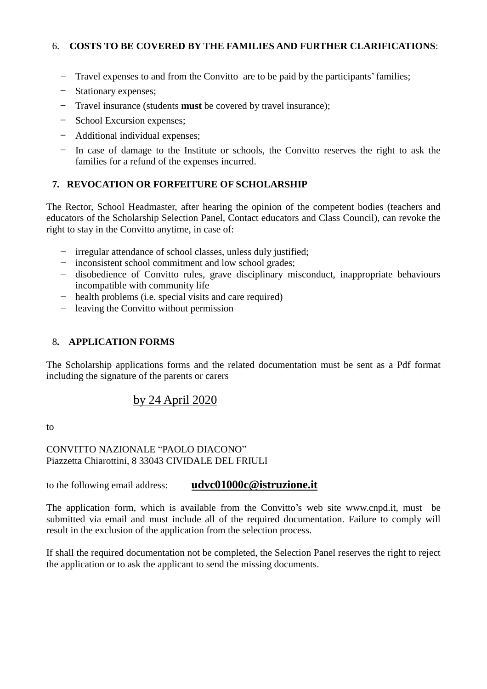#### 6. **COSTS TO BE COVERED BY THE FAMILIES AND FURTHER CLARIFICATIONS**:

- − Travel expenses to and from the Convitto are to be paid by the participants' families;
- − Stationary expenses;
- − Travel insurance (students **must** be covered by travel insurance);
- − School Excursion expenses;
- − Additional individual expenses;
- − In case of damage to the Institute or schools, the Convitto reserves the right to ask the families for a refund of the expenses incurred.

#### **7. REVOCATION OR FORFEITURE OF SCHOLARSHIP**

The Rector, School Headmaster, after hearing the opinion of the competent bodies (teachers and educators of the Scholarship Selection Panel, Contact educators and Class Council), can revoke the right to stay in the Convitto anytime, in case of:

- − irregular attendance of school classes, unless duly justified;
- − inconsistent school commitment and low school grades;
- − disobedience of Convitto rules, grave disciplinary misconduct, inappropriate behaviours incompatible with community life
- − health problems (i.e. special visits and care required)
- − leaving the Convitto without permission

#### 8**. APPLICATION FORMS**

The Scholarship applications forms and the related documentation must be sent as a Pdf format including the signature of the parents or carers

# by 24 April 2020

to

#### CONVITTO NAZIONALE "PAOLO DIACONO" Piazzetta Chiarottini, 8 33043 CIVIDALE DEL FRIULI

to the following email address: **[udvc01000c@istruzione.it](mailto:udvc01000c@istruzione.it)**

The application form, which is available from the Convitto's web site www.cnpd.it, must be submitted via email and must include all of the required documentation. Failure to comply will result in the exclusion of the application from the selection process.

If shall the required documentation not be completed, the Selection Panel reserves the right to reject the application or to ask the applicant to send the missing documents.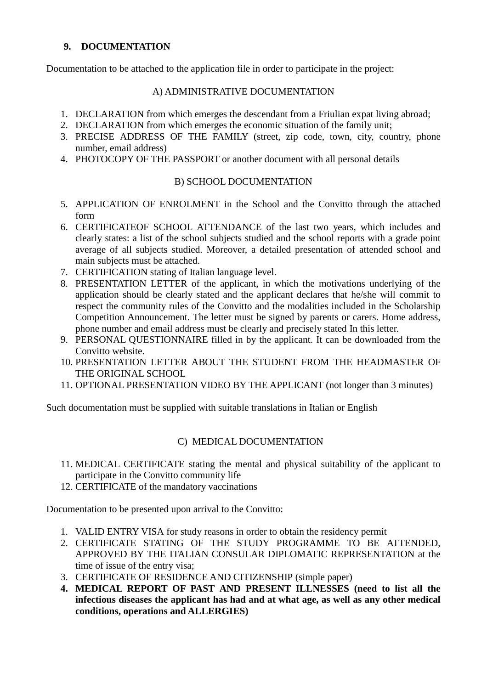#### **9. DOCUMENTATION**

Documentation to be attached to the application file in order to participate in the project:

#### A) ADMINISTRATIVE DOCUMENTATION

- 1. DECLARATION from which emerges the descendant from a Friulian expat living abroad;
- 2. DECLARATION from which emerges the economic situation of the family unit;
- 3. PRECISE ADDRESS OF THE FAMILY (street, zip code, town, city, country, phone number, email address)
- 4. PHOTOCOPY OF THE PASSPORT or another document with all personal details

#### B) SCHOOL DOCUMENTATION

- 5. APPLICATION OF ENROLMENT in the School and the Convitto through the attached form
- 6. CERTIFICATEOF SCHOOL ATTENDANCE of the last two years, which includes and clearly states: a list of the school subjects studied and the school reports with a grade point average of all subjects studied. Moreover, a detailed presentation of attended school and main subjects must be attached.
- 7. CERTIFICATION stating of Italian language level.
- 8. PRESENTATION LETTER of the applicant, in which the motivations underlying of the application should be clearly stated and the applicant declares that he/she will commit to respect the community rules of the Convitto and the modalities included in the Scholarship Competition Announcement. The letter must be signed by parents or carers. Home address, phone number and email address must be clearly and precisely stated In this letter.
- 9. PERSONAL QUESTIONNAIRE filled in by the applicant. It can be downloaded from the Convitto website.
- 10. PRESENTATION LETTER ABOUT THE STUDENT FROM THE HEADMASTER OF THE ORIGINAL SCHOOL
- 11. OPTIONAL PRESENTATION VIDEO BY THE APPLICANT (not longer than 3 minutes)

Such documentation must be supplied with suitable translations in Italian or English

#### C) MEDICAL DOCUMENTATION

- 11. MEDICAL CERTIFICATE stating the mental and physical suitability of the applicant to participate in the Convitto community life
- 12. CERTIFICATE of the mandatory vaccinations

Documentation to be presented upon arrival to the Convitto:

- 1. VALID ENTRY VISA for study reasons in order to obtain the residency permit
- 2. CERTIFICATE STATING OF THE STUDY PROGRAMME TO BE ATTENDED, APPROVED BY THE ITALIAN CONSULAR DIPLOMATIC REPRESENTATION at the time of issue of the entry visa;
- 3. CERTIFICATE OF RESIDENCE AND CITIZENSHIP (simple paper)
- **4. MEDICAL REPORT OF PAST AND PRESENT ILLNESSES (need to list all the infectious diseases the applicant has had and at what age, as well as any other medical conditions, operations and ALLERGIES)**